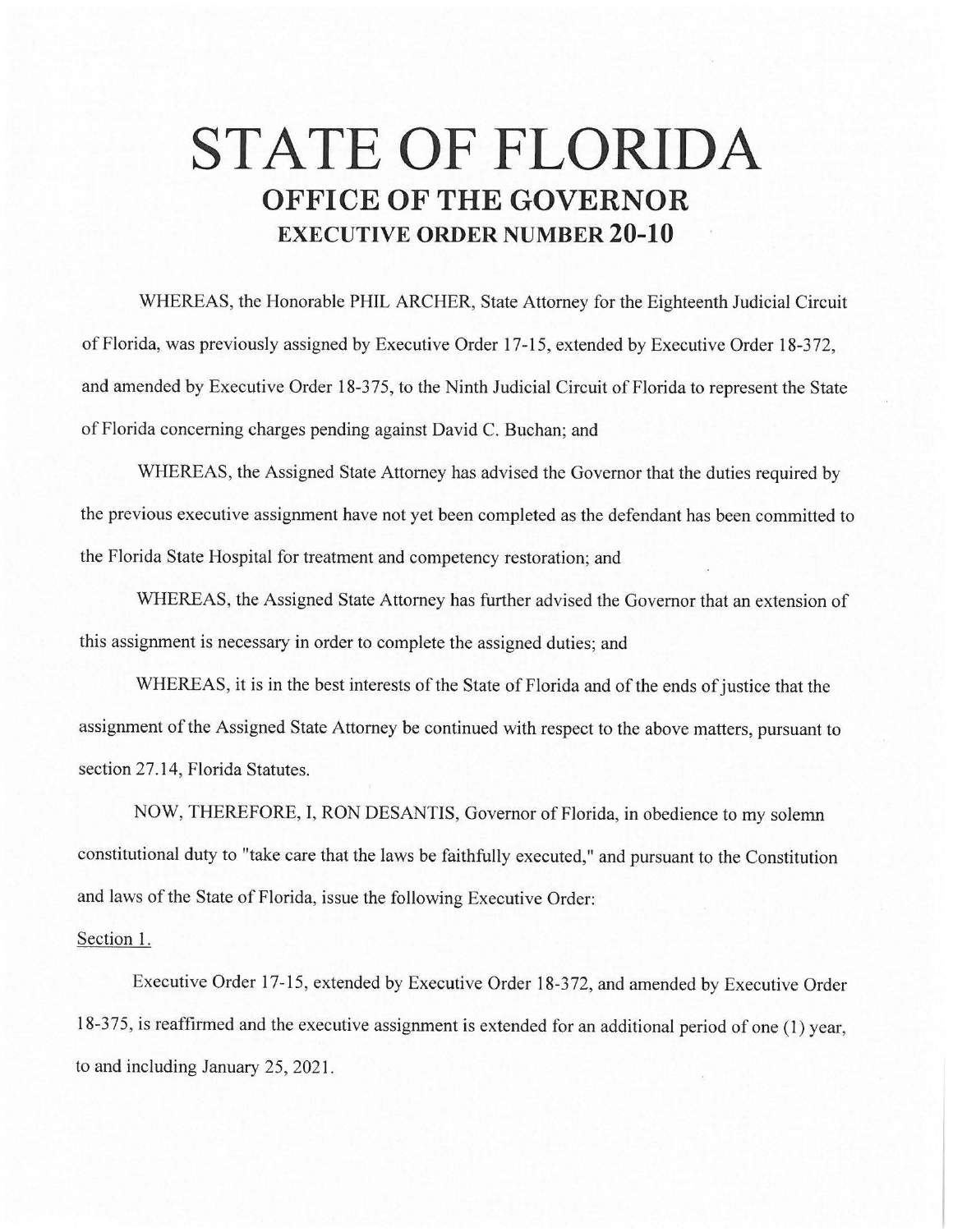## **STATE OF FLORIDA OFFICE OF THE GOVERNOR EXECUTIVE ORDER NUMBER 20-10**

WHEREAS, the Honorable PHIL ARCHER, State Attorney for the Eighteenth Judicial Circuit of Florida, was previously assigned by Executive Order 17-15, extended by Executive Order 18-372, and amended by Executive Order 18-375, to the Ninth Judicial Circuit of Florida to represent the State of Florida concerning charges pending against David C. Buchan; and

WHEREAS, the Assigned State Attorney has advised the Governor that the duties required by the previous executive assignment have not yet been completed as the defendant has been committed to the Florida State Hospital for treatment and competency restoration; and

WHEREAS, the Assigned State Attorney has further advised the Governor that an extension of this assignment is necessary in order to complete the assigned duties; and

WHEREAS, it is in the best interests of the State of Florida and of the ends of justice that the assignment of the Assigned State Attorney be continued with respect to the above matters, pursuant to section 27.14, Florida Statutes.

NOW, THEREFORE, I, RON DESANTIS, Governor of Florida, in obedience to my solemn constitutional duty to "take care that the laws be faithfully executed," and pursuant to the Constitution and laws of the State of Florida, issue the following Executive Order:

## Section 1.

Executive Order 17-15, extended by Executive Order 18-372, and amended by Executive Order 18-375, is reaffirmed and the executive assignment is extended for an additional period of one (1) year, to and including January 25, 2021 .